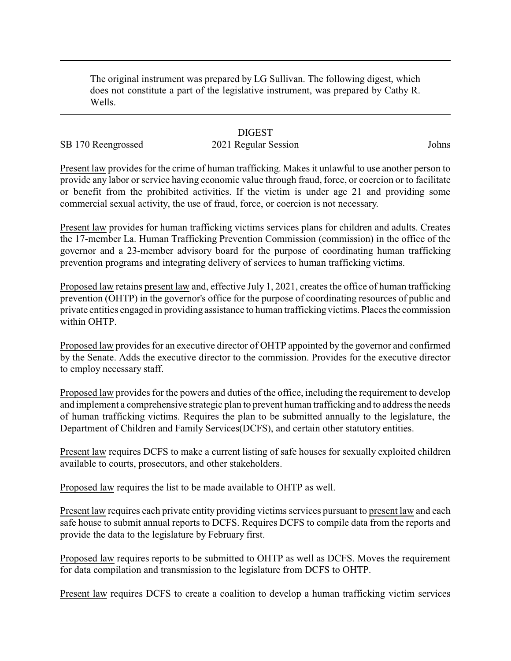The original instrument was prepared by LG Sullivan. The following digest, which does not constitute a part of the legislative instrument, was prepared by Cathy R. Wells.

# **DIGEST**

# SB 170 Reengrossed 2021 Regular Session Johns

Present law provides for the crime of human trafficking. Makes it unlawful to use another person to provide any labor or service having economic value through fraud, force, or coercion or to facilitate or benefit from the prohibited activities. If the victim is under age 21 and providing some commercial sexual activity, the use of fraud, force, or coercion is not necessary.

Present law provides for human trafficking victims services plans for children and adults. Creates the 17-member La. Human Trafficking Prevention Commission (commission) in the office of the governor and a 23-member advisory board for the purpose of coordinating human trafficking prevention programs and integrating delivery of services to human trafficking victims.

Proposed law retains present law and, effective July 1, 2021, creates the office of human trafficking prevention (OHTP) in the governor's office for the purpose of coordinating resources of public and private entities engaged in providing assistance to human trafficking victims. Places the commission within OHTP.

Proposed law provides for an executive director of OHTP appointed by the governor and confirmed by the Senate. Adds the executive director to the commission. Provides for the executive director to employ necessary staff.

Proposed law provides for the powers and duties of the office, including the requirement to develop and implement a comprehensive strategic plan to prevent human trafficking and to address the needs of human trafficking victims. Requires the plan to be submitted annually to the legislature, the Department of Children and Family Services(DCFS), and certain other statutory entities.

Present law requires DCFS to make a current listing of safe houses for sexually exploited children available to courts, prosecutors, and other stakeholders.

Proposed law requires the list to be made available to OHTP as well.

Present law requires each private entity providing victims services pursuant to present law and each safe house to submit annual reports to DCFS. Requires DCFS to compile data from the reports and provide the data to the legislature by February first.

Proposed law requires reports to be submitted to OHTP as well as DCFS. Moves the requirement for data compilation and transmission to the legislature from DCFS to OHTP.

Present law requires DCFS to create a coalition to develop a human trafficking victim services